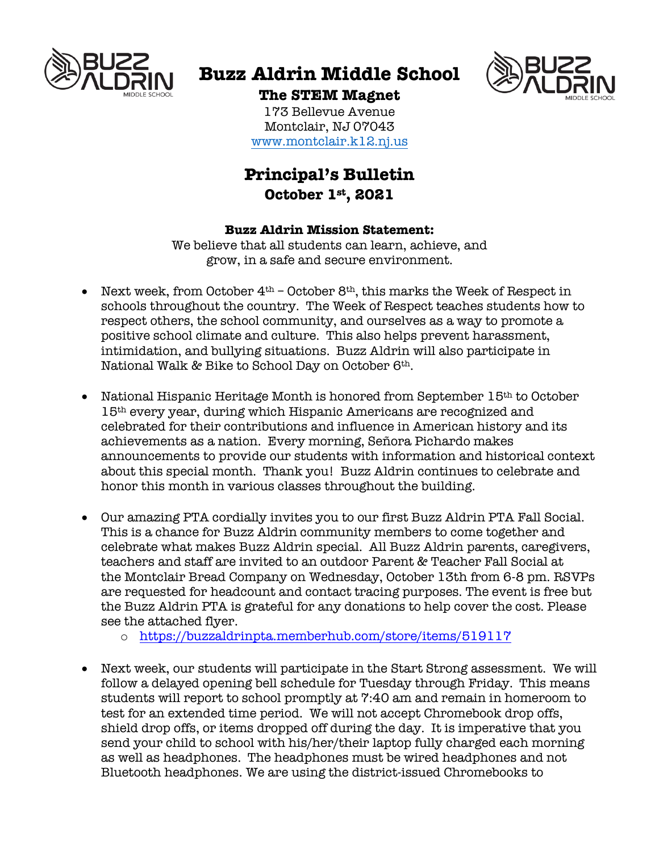

# **Buzz Aldrin Middle School**



# **The STEM Magnet**

173 Bellevue Avenue Montclair, NJ 07043 www.montclair.k12.nj.us

# **Principal's Bulletin October 1st, 2021**

# **Buzz Aldrin Mission Statement:**

We believe that all students can learn, achieve, and grow, in a safe and secure environment.

- Next week, from October  $4<sup>th</sup>$  October  $8<sup>th</sup>$ , this marks the Week of Respect in schools throughout the country. The Week of Respect teaches students how to respect others, the school community, and ourselves as a way to promote a positive school climate and culture. This also helps prevent harassment, intimidation, and bullying situations. Buzz Aldrin will also participate in National Walk & Bike to School Day on October 6th.
- National Hispanic Heritage Month is honored from September 15<sup>th</sup> to October 15th every year, during which Hispanic Americans are recognized and celebrated for their contributions and influence in American history and its achievements as a nation. Every morning, Señora Pichardo makes announcements to provide our students with information and historical context about this special month. Thank you! Buzz Aldrin continues to celebrate and honor this month in various classes throughout the building.
- Our amazing PTA cordially invites you to our first Buzz Aldrin PTA Fall Social. This is a chance for Buzz Aldrin community members to come together and celebrate what makes Buzz Aldrin special. All Buzz Aldrin parents, caregivers, teachers and staff are invited to an outdoor Parent & Teacher Fall Social at the Montclair Bread Company on Wednesday, October 13th from 6-8 pm. RSVPs are requested for headcount and contact tracing purposes. The event is free but the Buzz Aldrin PTA is grateful for any donations to help cover the cost. Please see the attached flyer.
	- o https://buzzaldrinpta.memberhub.com/store/items/519117
- Next week, our students will participate in the Start Strong assessment. We will follow a delayed opening bell schedule for Tuesday through Friday. This means students will report to school promptly at 7:40 am and remain in homeroom to test for an extended time period. We will not accept Chromebook drop offs, shield drop offs, or items dropped off during the day. It is imperative that you send your child to school with his/her/their laptop fully charged each morning as well as headphones. The headphones must be wired headphones and not Bluetooth headphones. We are using the district-issued Chromebooks to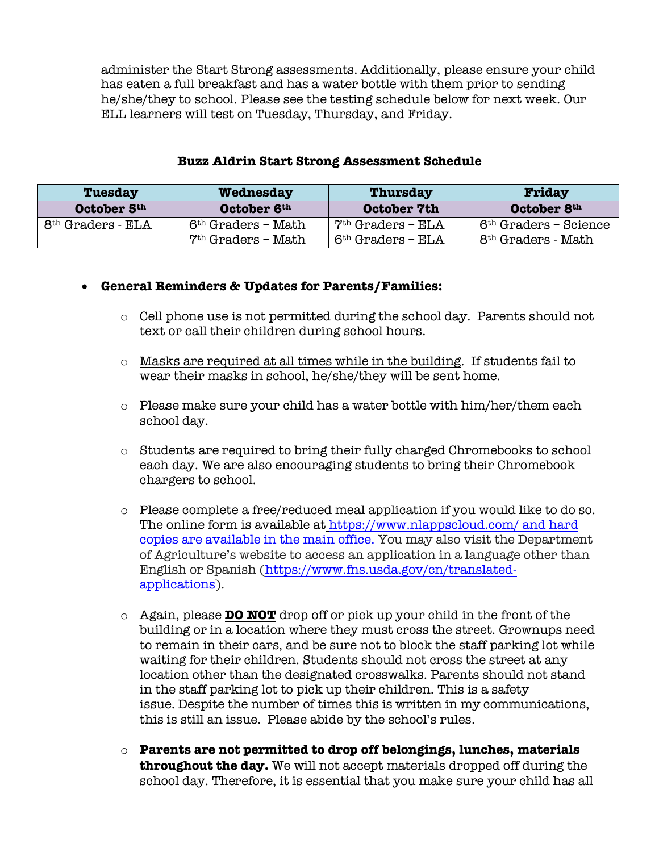administer the Start Strong assessments. Additionally, please ensure your child has eaten a full breakfast and has a water bottle with them prior to sending he/she/they to school. Please see the testing schedule below for next week. Our ELL learners will test on Tuesday, Thursday, and Friday.

#### **Buzz Aldrin Start Strong Assessment Schedule**

| <b>Tuesday</b>                | Wednesday                                              | <b>Thursday</b>                            | Friday                                                    |
|-------------------------------|--------------------------------------------------------|--------------------------------------------|-----------------------------------------------------------|
| October 5th                   | October 6th                                            | October 7th                                | October 8th                                               |
| 8 <sup>th</sup> Graders - ELA | 6 <sup>th</sup> Graders - Math<br>$7th$ Graders - Math | $7th$ Graders - ELA<br>$6th$ Graders - ELA | $6th$ Graders – Science<br>8 <sup>th</sup> Graders - Math |

#### • **General Reminders & Updates for Parents/Families:**

- o Cell phone use is not permitted during the school day. Parents should not text or call their children during school hours.
- $\circ$  Masks are required at all times while in the building. If students fail to wear their masks in school, he/she/they will be sent home.
- $\circ$  Please make sure your child has a water bottle with him/her/them each school day.
- o Students are required to bring their fully charged Chromebooks to school each day. We are also encouraging students to bring their Chromebook chargers to school.
- $\circ$  Please complete a free/reduced meal application if you would like to do so. The online form is available at https://www.nlappscloud.com/ and hard copies are available in the main office. You may also visit the Department of Agriculture's website to access an application in a language other than English or Spanish (https://www.fns.usda.gov/cn/translatedapplications).
- o Again, please **DO NOT** drop off or pick up your child in the front of the building or in a location where they must cross the street. Grownups need to remain in their cars, and be sure not to block the staff parking lot while waiting for their children. Students should not cross the street at any location other than the designated crosswalks. Parents should not stand in the staff parking lot to pick up their children. This is a safety issue. Despite the number of times this is written in my communications, this is still an issue. Please abide by the school's rules.
- o **Parents are not permitted to drop off belongings, lunches, materials throughout the day.** We will not accept materials dropped off during the school day. Therefore, it is essential that you make sure your child has all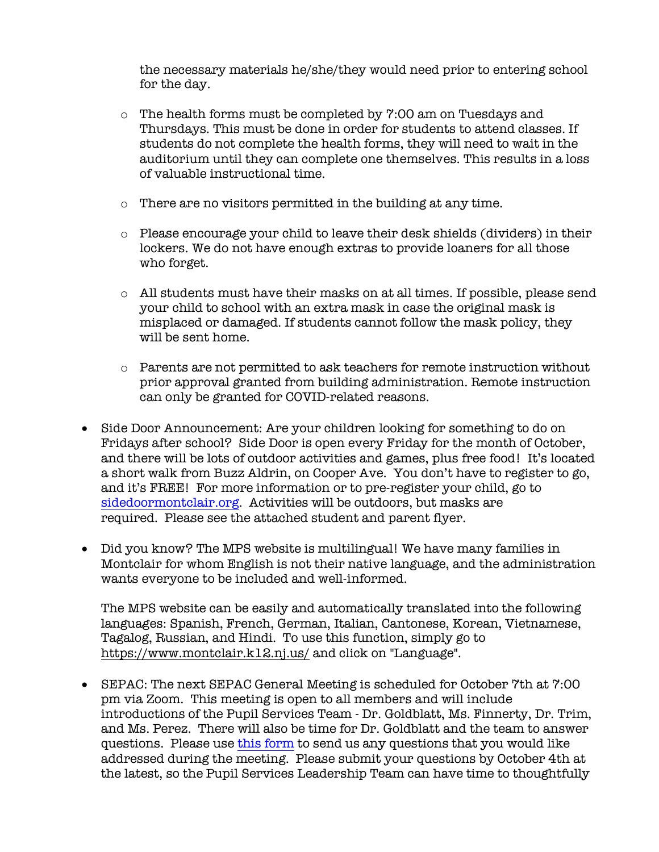the necessary materials he/she/they would need prior to entering school for the day.

- $\circ$  The health forms must be completed by 7:00 am on Tuesdays and Thursdays. This must be done in order for students to attend classes. If students do not complete the health forms, they will need to wait in the auditorium until they can complete one themselves. This results in a loss of valuable instructional time.
- $\circ$  There are no visitors permitted in the building at any time.
- o Please encourage your child to leave their desk shields (dividers) in their lockers. We do not have enough extras to provide loaners for all those who forget.
- $\circ$  All students must have their masks on at all times. If possible, please send your child to school with an extra mask in case the original mask is misplaced or damaged. If students cannot follow the mask policy, they will be sent home.
- o Parents are not permitted to ask teachers for remote instruction without prior approval granted from building administration. Remote instruction can only be granted for COVID-related reasons.
- Side Door Announcement: Are your children looking for something to do on Fridays after school? Side Door is open every Friday for the month of October, and there will be lots of outdoor activities and games, plus free food! It's located a short walk from Buzz Aldrin, on Cooper Ave. You don't have to register to go, and it's FREE! For more information or to pre-register your child, go to sidedoormontclair.org. Activities will be outdoors, but masks are required. Please see the attached student and parent flyer.
- Did you know? The MPS website is multilingual! We have many families in Montclair for whom English is not their native language, and the administration wants everyone to be included and well-informed.

The MPS website can be easily and automatically translated into the following languages: Spanish, French, German, Italian, Cantonese, Korean, Vietnamese, Tagalog, Russian, and Hindi. To use this function, simply go to https://www.montclair.k12.nj.us/ and click on "Language".

• SEPAC: The next SEPAC General Meeting is scheduled for October 7th at 7:00 pm via Zoom. This meeting is open to all members and will include introductions of the Pupil Services Team - Dr. Goldblatt, Ms. Finnerty, Dr. Trim, and Ms. Perez. There will also be time for Dr. Goldblatt and the team to answer questions. Please use this form to send us any questions that you would like addressed during the meeting. Please submit your questions by October 4th at the latest, so the Pupil Services Leadership Team can have time to thoughtfully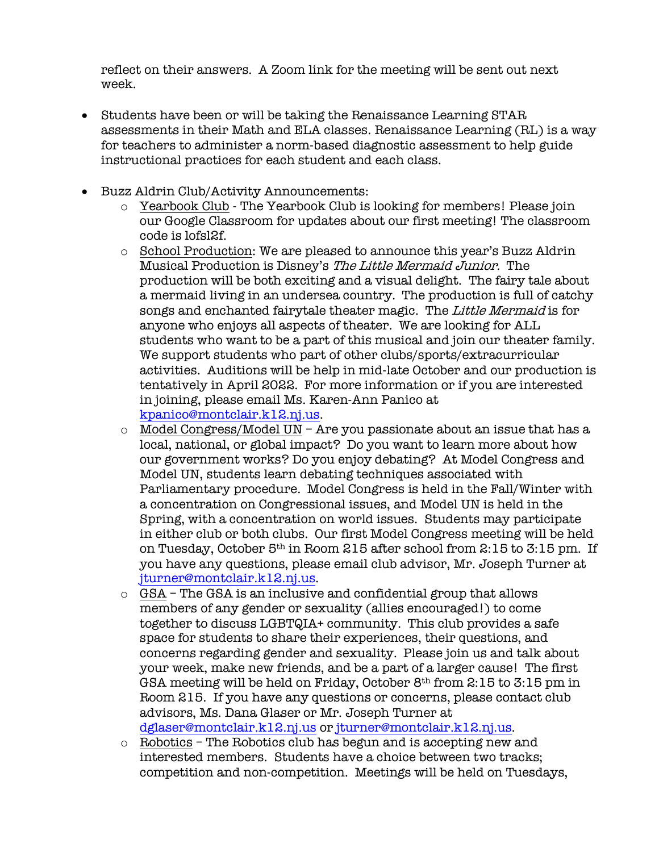reflect on their answers. A Zoom link for the meeting will be sent out next week.

- Students have been or will be taking the Renaissance Learning STAR assessments in their Math and ELA classes. Renaissance Learning (RL) is a way for teachers to administer a norm-based diagnostic assessment to help guide instructional practices for each student and each class.
- Buzz Aldrin Club/Activity Announcements:
	- o Yearbook Club The Yearbook Club is looking for members! Please join our Google Classroom for updates about our first meeting! The classroom code is lofsl2f.
	- o School Production: We are pleased to announce this year's Buzz Aldrin Musical Production is Disney's The Little Mermaid Junior. The production will be both exciting and a visual delight. The fairy tale about a mermaid living in an undersea country. The production is full of catchy songs and enchanted fairytale theater magic. The Little Mermaid is for anyone who enjoys all aspects of theater. We are looking for ALL students who want to be a part of this musical and join our theater family. We support students who part of other clubs/sports/extracurricular activities. Auditions will be help in mid-late October and our production is tentatively in April 2022. For more information or if you are interested in joining, please email Ms. Karen-Ann Panico at kpanico@montclair.k12.nj.us.
	- $\circ$  Model Congress/Model UN Are you passionate about an issue that has a local, national, or global impact? Do you want to learn more about how our government works? Do you enjoy debating? At Model Congress and Model UN, students learn debating techniques associated with Parliamentary procedure. Model Congress is held in the Fall/Winter with a concentration on Congressional issues, and Model UN is held in the Spring, with a concentration on world issues. Students may participate in either club or both clubs. Our first Model Congress meeting will be held on Tuesday, October 5th in Room 215 after school from 2:15 to 3:15 pm. If you have any questions, please email club advisor, Mr. Joseph Turner at jturner@montclair.k12.nj.us.
	- o GSA The GSA is an inclusive and confidential group that allows members of any gender or sexuality (allies encouraged!) to come together to discuss LGBTQIA+ community. This club provides a safe space for students to share their experiences, their questions, and concerns regarding gender and sexuality. Please join us and talk about your week, make new friends, and be a part of a larger cause! The first GSA meeting will be held on Friday, October 8th from 2:15 to 3:15 pm in Room 215. If you have any questions or concerns, please contact club advisors, Ms. Dana Glaser or Mr. Joseph Turner at dglaser@montclair.k12.nj.us or jturner@montclair.k12.nj.us.
	- o Robotics The Robotics club has begun and is accepting new and interested members. Students have a choice between two tracks; competition and non-competition. Meetings will be held on Tuesdays,